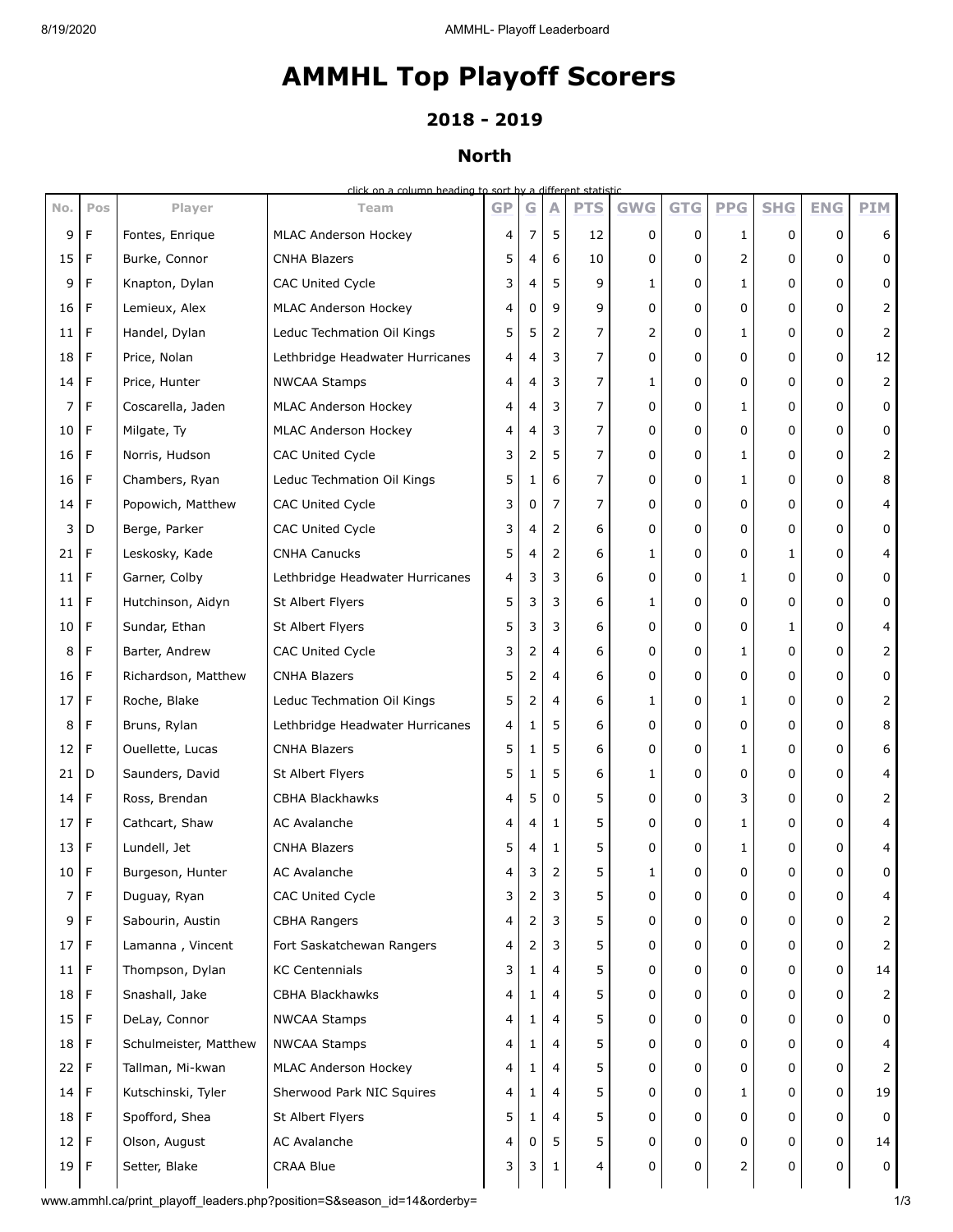# **AMMHL Top Playoff Scorers**

#### **2018 - 2019**

### **North**

| No. | Pos | Player                | click on a column heading to sort by a different statistic<br>Team | <b>GP</b> | G | Α | <b>PTS</b> | <b>GWG</b>   | <b>GTG</b> | <b>PPG</b>   | <b>SHG</b> | <b>ENG</b> | <b>PIM</b> |
|-----|-----|-----------------------|--------------------------------------------------------------------|-----------|---|---|------------|--------------|------------|--------------|------------|------------|------------|
| 9   | F   | Fontes, Enrique       | MLAC Anderson Hockey                                               | 4         | 7 | 5 | 12         | 0            | 0          | $\mathbf{1}$ | 0          | 0          | 6          |
| 15  | F   | Burke, Connor         | <b>CNHA Blazers</b>                                                | 5         | 4 | 6 | 10         | 0            | 0          | 2            | 0          | 0          | 0          |
| 9   | F   | Knapton, Dylan        | <b>CAC United Cycle</b>                                            | 3         | 4 | 5 | 9          | 1            | 0          | $\mathbf{1}$ | 0          | 0          | 0          |
| 16  | F   | Lemieux, Alex         | MLAC Anderson Hockey                                               | 4         | 0 | 9 | 9          | 0            | 0          | 0            | 0          | 0          | 2          |
| 11  | F   | Handel, Dylan         | Leduc Techmation Oil Kings                                         | 5         | 5 | 2 | 7          | 2            | 0          | $\mathbf{1}$ | 0          | $\Omega$   | 2          |
| 18  | F   | Price, Nolan          | Lethbridge Headwater Hurricanes                                    | 4         | 4 | 3 | 7          | 0            | 0          | 0            | 0          | 0          | 12         |
| 14  | F   | Price, Hunter         | <b>NWCAA Stamps</b>                                                | 4         | 4 | 3 | 7          | $\mathbf{1}$ | 0          | 0            | 0          | 0          | 2          |
| 7   | F   | Coscarella, Jaden     | MLAC Anderson Hockey                                               | 4         | 4 | 3 | 7          | 0            | 0          | $\mathbf{1}$ | 0          | 0          | 0          |
| 10  | F   | Milgate, Ty           | MLAC Anderson Hockey                                               | 4         | 4 | 3 | 7          | 0            | 0          | 0            | 0          | 0          | 0          |
| 16  | F   | Norris, Hudson        | CAC United Cycle                                                   | 3         | 2 | 5 | 7          | 0            | 0          | 1            | 0          | 0          | 2          |
| 16  | F   | Chambers, Ryan        | Leduc Techmation Oil Kings                                         | 5         | 1 | 6 | 7          | 0            | 0          | $\mathbf{1}$ | 0          | 0          | 8          |
| 14  | F   | Popowich, Matthew     | CAC United Cycle                                                   | 3         | 0 | 7 | 7          | 0            | 0          | 0            | 0          | 0          | 4          |
| 3   | D   | Berge, Parker         | CAC United Cycle                                                   | 3         | 4 | 2 | 6          | 0            | 0          | 0            | 0          | 0          | 0          |
| 21  | F   | Leskosky, Kade        | <b>CNHA Canucks</b>                                                | 5         | 4 | 2 | 6          | $\mathbf{1}$ | 0          | 0            | 1          | 0          | 4          |
| 11  | F   | Garner, Colby         | Lethbridge Headwater Hurricanes                                    | 4         | 3 | 3 | 6          | 0            | 0          | $\mathbf{1}$ | 0          | 0          | 0          |
| 11  | F   | Hutchinson, Aidyn     | St Albert Flyers                                                   | 5         | 3 | 3 | 6          | 1            | 0          | 0            | 0          | 0          | 0          |
| 10  | F   | Sundar, Ethan         | St Albert Flyers                                                   | 5         | 3 | 3 | 6          | 0            | 0          | 0            | 1          | 0          | 4          |
| 8   | F   | Barter, Andrew        | CAC United Cycle                                                   | 3         | 2 | 4 | 6          | 0            | 0          | $\mathbf{1}$ | 0          | 0          | 2          |
| 16  | F   | Richardson, Matthew   | <b>CNHA Blazers</b>                                                | 5         | 2 | 4 | 6          | 0            | 0          | 0            | 0          | 0          | 0          |
| 17  | F   | Roche, Blake          | Leduc Techmation Oil Kings                                         | 5         | 2 | 4 | 6          | $\mathbf{1}$ | 0          | $\mathbf{1}$ | 0          | 0          | 2          |
| 8   | F   | Bruns, Rylan          | Lethbridge Headwater Hurricanes                                    | 4         | 1 | 5 | 6          | 0            | 0          | 0            | 0          | $\Omega$   | 8          |
| 12  | F   | Ouellette, Lucas      | <b>CNHA Blazers</b>                                                | 5         | 1 | 5 | 6          | 0            | 0          | 1            | 0          | 0          | 6          |
| 21  | D   | Saunders, David       | St Albert Flyers                                                   | 5         | 1 | 5 | 6          | $\mathbf{1}$ | 0          | 0            | 0          | 0          | 4          |
| 14  | F   | Ross, Brendan         | <b>CBHA Blackhawks</b>                                             | 4         | 5 | 0 | 5          | 0            | 0          | 3            | 0          | 0          | 2          |
| 17  | F   | Cathcart, Shaw        | <b>AC Avalanche</b>                                                | 4         | 4 | 1 | 5          | 0            | 0          | $\mathbf{1}$ | 0          | 0          | 4          |
| 13  | F   | Lundell, Jet          | <b>CNHA Blazers</b>                                                | 5         | 4 | 1 | 5          | 0            | 0          | 1            | 0          | 0          | 4          |
| 10  | -F  | Burgeson, Hunter      | AC Avalanche                                                       | 4         | 3 | 2 | 5          |              | 0          | 0            | 0          | 0          | 0          |
| 7   | F   | Duguay, Ryan          | CAC United Cycle                                                   | 3         | 2 | 3 | 5          | 0            | 0          | 0            | 0          | 0          | 4          |
| 9   | F   | Sabourin, Austin      | <b>CBHA Rangers</b>                                                | 4         | 2 | 3 | 5          | 0            | 0          | 0            | 0          | 0          | 2          |
| 17  | F   | Lamanna, Vincent      | Fort Saskatchewan Rangers                                          | 4         | 2 | 3 | 5          | 0            | 0          | 0            | 0          | 0          | 2          |
| 11  | F   | Thompson, Dylan       | <b>KC Centennials</b>                                              | 3         | 1 | 4 | 5          | 0            | 0          | 0            | 0          | 0          | 14         |
| 18  | F   | Snashall, Jake        | <b>CBHA Blackhawks</b>                                             | 4         | 1 | 4 | 5          | 0            | 0          | 0            | 0          | 0          | 2          |
| 15  | F   | DeLay, Connor         | <b>NWCAA Stamps</b>                                                | 4         | 1 | 4 | 5          | 0            | 0          | 0            | 0          | 0          | 0          |
| 18  | F   | Schulmeister, Matthew | <b>NWCAA Stamps</b>                                                | 4         | 1 | 4 | 5          | 0            | 0          | 0            | 0          | 0          | 4          |
| 22  | F   | Tallman, Mi-kwan      | MLAC Anderson Hockey                                               | 4         | 1 | 4 | 5          | 0            | 0          | 0            | 0          | 0          | 2          |
| 14  | F   | Kutschinski, Tyler    | Sherwood Park NIC Squires                                          | 4         | 1 | 4 | 5          | 0            | 0          | $\mathbf{1}$ | 0          | 0          | 19         |
| 18  | F   | Spofford, Shea        | St Albert Flyers                                                   | 5         | 1 | 4 | 5          | 0            | 0          | 0            | 0          | 0          | 0          |
| 12  | F   | Olson, August         | AC Avalanche                                                       | 4         | 0 | 5 | 5          | 0            | 0          | 0            | 0          | 0          | 14         |

19 F Setter, Blake CRAA Blue 3 3 1 4 0 0 2 0 0 0

www.ammhl.ca/print\_playoff\_leaders.php?position=S&season\_id=14&orderby= 1/3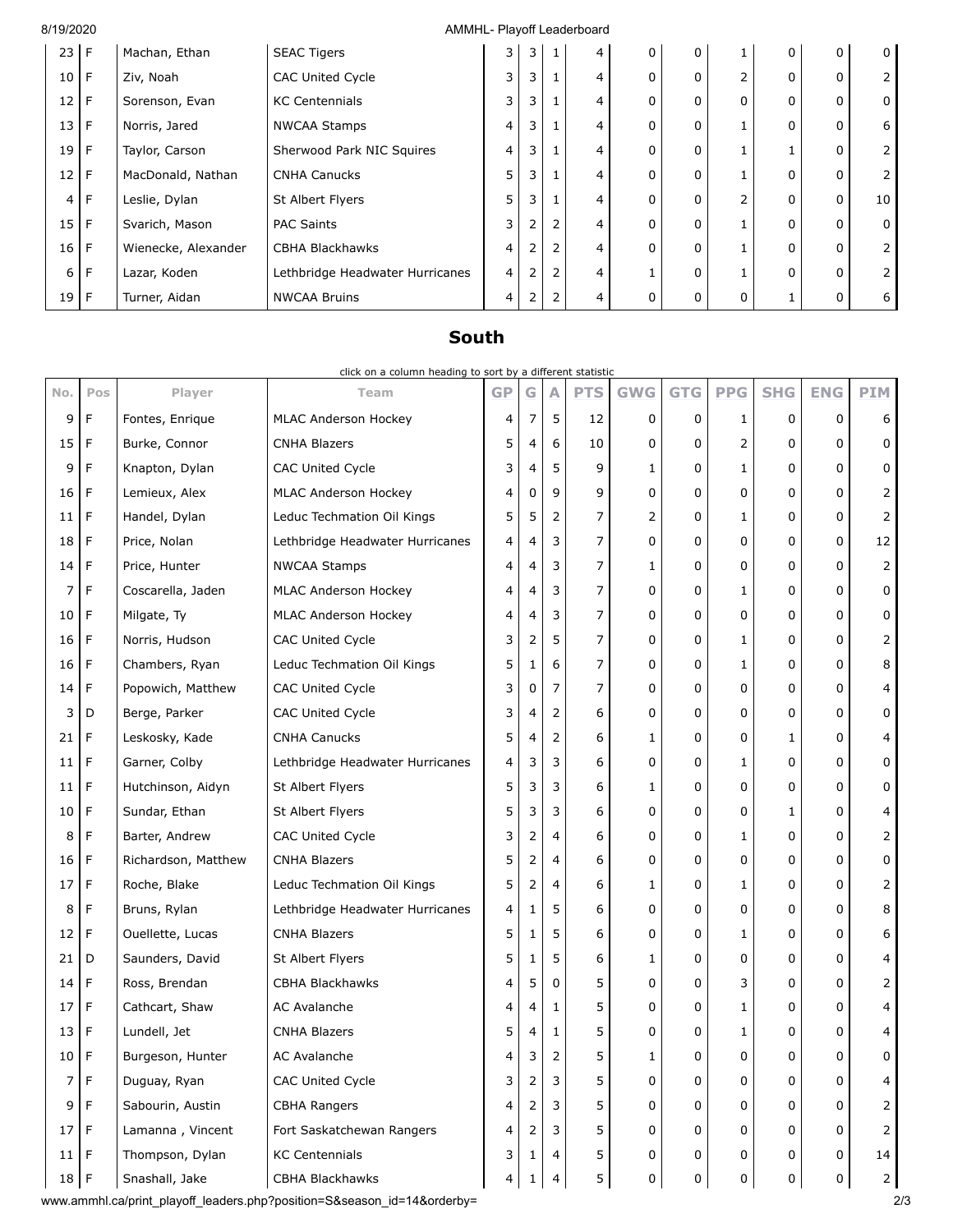#### 8/19/2020 AMMHL- Playoff Leaderboard

| $23$ F         |   | Machan, Ethan       | <b>SEAC Tigers</b>              | 3 | 3 |   | 4              | 0        | 0        |   | 0        | 0        | $\mathbf{0}$ |
|----------------|---|---------------------|---------------------------------|---|---|---|----------------|----------|----------|---|----------|----------|--------------|
| 10             | F | Ziv, Noah           | <b>CAC United Cycle</b>         | 3 | 3 |   | 4              | $\Omega$ | 0        | 2 | $\Omega$ | 0        | 2            |
| 12             | F | Sorenson, Evan      | <b>KC Centennials</b>           | 3 | 3 |   | 4              |          | 0        | 0 | O        | $\Omega$ | 0            |
| 13             | F | Norris, Jared       | <b>NWCAA Stamps</b>             | 4 | 3 |   | 4              | 0        | 0        |   |          | 0        | 6            |
| 19             | F | Taylor, Carson      | Sherwood Park NIC Squires       | 4 | 3 |   | 4              |          | 0        |   |          | 0        |              |
| 12             | F | MacDonald, Nathan   | <b>CNHA Canucks</b>             | 5 | 3 |   | $\overline{4}$ |          | 0        |   | O        | 0        |              |
| $\overline{4}$ | F | Leslie, Dylan       | St Albert Flyers                | 5 | 3 |   | 4              | 0        | 0        | 2 | $\Omega$ | 0        | 10           |
| 15             | F | Svarich, Mason      | <b>PAC Saints</b>               | 3 | 2 |   | 4              | 0        | $\Omega$ |   | O        | 0        | 0            |
| 16             | F | Wienecke, Alexander | <b>CBHA Blackhawks</b>          | 4 | 2 |   | 4              |          | 0        |   | O        | 0        | 2            |
| 6              | F | Lazar, Koden        | Lethbridge Headwater Hurricanes | 4 | 2 | 2 | 4              |          | 0        |   | O        | 0        |              |
| 19             | F | Turner, Aidan       | <b>NWCAA Bruins</b>             | 4 | 2 |   | 4              |          | 0        | 0 |          | 0        | 6            |
|                |   |                     |                                 |   |   |   |                |          |          |   |          |          |              |

## **South**

|        | click on a column heading to sort by a different statistic |                     |                                 |                |              |                |            |            |            |            |            |            |                |
|--------|------------------------------------------------------------|---------------------|---------------------------------|----------------|--------------|----------------|------------|------------|------------|------------|------------|------------|----------------|
| No.    | Pos                                                        | Player              | Team                            | <b>GP</b>      | G            | A              | <b>PTS</b> | <b>GWG</b> | <b>GTG</b> | <b>PPG</b> | <b>SHG</b> | <b>ENG</b> | <b>PIM</b>     |
| 9      | F                                                          | Fontes, Enrique     | MLAC Anderson Hockey            | 4              | 7            | 5              | 12         | 0          | 0          | 1          | 0          | 0          | 6              |
| 15     | F                                                          | Burke, Connor       | <b>CNHA Blazers</b>             | 5              | 4            | 6              | 10         | 0          | 0          | 2          | 0          | 0          | 0              |
| 9      | F                                                          | Knapton, Dylan      | <b>CAC United Cycle</b>         | 3              | 4            | 5              | 9          | 1          | 0          | 1          | 0          | 0          | 0              |
| 16     | F                                                          | Lemieux, Alex       | MLAC Anderson Hockey            | 4              | 0            | 9              | 9          | 0          | 0          | 0          | 0          | 0          | 2              |
| 11     | F                                                          | Handel, Dylan       | Leduc Techmation Oil Kings      | 5              | 5            | 2              | 7          | 2          | 0          | 1          | 0          | 0          | $\overline{2}$ |
| 18     | F                                                          | Price, Nolan        | Lethbridge Headwater Hurricanes | 4              | 4            | 3              | 7          | 0          | 0          | 0          | 0          | 0          | 12             |
| 14     | F                                                          | Price, Hunter       | <b>NWCAA Stamps</b>             | 4              | 4            | 3              | 7          | 1          | 0          | 0          | 0          | 0          | $\overline{2}$ |
| 7      | F                                                          | Coscarella, Jaden   | MLAC Anderson Hockey            | 4              | 4            | 3              | 7          | 0          | 0          | 1          | 0          | 0          | 0              |
| 10     | F                                                          | Milgate, Ty         | MLAC Anderson Hockey            | 4              | 4            | 3              | 7          | 0          | 0          | 0          | 0          | 0          | 0              |
| 16     | F                                                          | Norris, Hudson      | CAC United Cycle                | 3              | 2            | 5              | 7          | 0          | 0          | 1          | 0          | 0          | 2              |
| 16     | F                                                          | Chambers, Ryan      | Leduc Techmation Oil Kings      | 5              | 1            | 6              | 7          | 0          | 0          | 1          | 0          | 0          | 8              |
| 14     | F                                                          | Popowich, Matthew   | <b>CAC United Cycle</b>         | 3              | 0            | 7              | 7          | 0          | 0          | 0          | 0          | 0          | 4              |
| 3      | D                                                          | Berge, Parker       | <b>CAC United Cycle</b>         | 3              | 4            | $\overline{2}$ | 6          | 0          | 0          | 0          | 0          | 0          | 0              |
| 21     | F                                                          | Leskosky, Kade      | <b>CNHA Canucks</b>             | 5              | 4            | 2              | 6          | 1          | 0          | 0          | 1          | 0          | 4              |
| 11     | F                                                          | Garner, Colby       | Lethbridge Headwater Hurricanes | 4              | 3            | 3              | 6          | 0          | 0          | 1          | 0          | 0          | 0              |
| 11     | F                                                          | Hutchinson, Aidyn   | St Albert Flyers                | 5              | 3            | 3              | 6          | 1          | 0          | 0          | 0          | 0          | 0              |
| 10     | F                                                          | Sundar, Ethan       | St Albert Flyers                | 5              | 3            | 3              | 6          | 0          | 0          | 0          | 1          | 0          | 4              |
| 8      | F                                                          | Barter, Andrew      | CAC United Cycle                | 3              | 2            | 4              | 6          | 0          | 0          | 1          | 0          | 0          | $\overline{2}$ |
| 16     | F                                                          | Richardson, Matthew | <b>CNHA Blazers</b>             | 5              | 2            | 4              | 6          | 0          | 0          | 0          | 0          | 0          | 0              |
| 17     | F                                                          | Roche, Blake        | Leduc Techmation Oil Kings      | 5              | 2            | 4              | 6          | 1          | 0          | 1          | 0          | 0          | 2              |
| 8      | F                                                          | Bruns, Rylan        | Lethbridge Headwater Hurricanes | 4              | 1            | 5              | 6          | 0          | 0          | 0          | 0          | 0          | 8              |
| 12     | F                                                          | Ouellette, Lucas    | <b>CNHA Blazers</b>             | 5              | 1            | 5              | 6          | 0          | 0          | 1          | 0          | 0          | 6              |
| 21     | D                                                          | Saunders, David     | St Albert Flyers                | 5              | 1            | 5              | 6          | 1          | 0          | 0          | 0          | 0          | 4              |
| 14     | F                                                          | Ross, Brendan       | CBHA Blackhawks                 | 4              | 5            | 0              | 5          | 0          | 0          | 3          | 0          | 0          | 2              |
| 17     | F                                                          | Cathcart, Shaw      | <b>AC Avalanche</b>             | 4              | 4            | 1              | 5          | 0          | 0          | 1          | 0          | 0          | 4              |
| 13     | F                                                          | Lundell, Jet        | <b>CNHA Blazers</b>             | 5              | 4            | 1              | 5          | 0          | 0          | 1          | 0          | 0          | 4              |
| 10     | F                                                          | Burgeson, Hunter    | <b>AC Avalanche</b>             | 4              | 3            | 2              | 5          | 1          | 0          | 0          | 0          | 0          | 0              |
| 7      | F                                                          | Duguay, Ryan        | <b>CAC United Cycle</b>         | 3              | 2            | 3              | 5          | 0          | 0          | 0          | 0          | 0          | 4              |
| 9      | F                                                          | Sabourin, Austin    | CBHA Rangers                    | 4              | 2            | 3              | 5          | 0          | 0          | 0          | 0          | 0          | $\overline{2}$ |
| 17     | F                                                          | Lamanna, Vincent    | Fort Saskatchewan Rangers       | 4              | 2            | 3              | 5          | 0          | 0          | 0          | 0          | 0          | 2              |
| 11     | F                                                          | Thompson, Dylan     | <b>KC Centennials</b>           | 3              | 1            | 4              | 5          | 0          | 0          | 0          | 0          | 0          | 14             |
| $18$ F |                                                            | Snashall, Jake      | CBHA Blackhawks                 | $\overline{4}$ | $\mathbf{1}$ | 4              | 5          | 0          | 0          | 0          | 0          | 0          | $2 \mid$       |

www.ammhl.ca/print\_playoff\_leaders.php?position=S&season\_id=14&orderby= 2/3